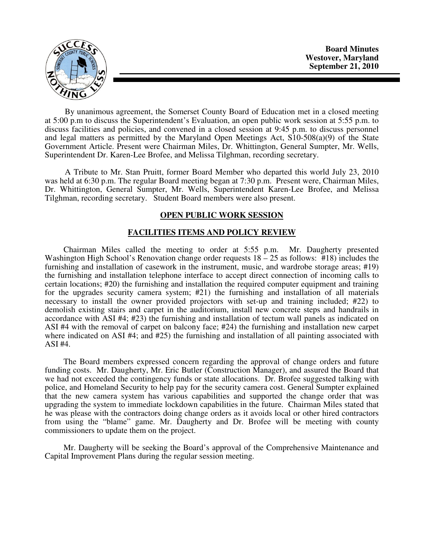

**Board Minutes Westover, Maryland September 21, 2010** 

By unanimous agreement, the Somerset County Board of Education met in a closed meeting at 5:00 p.m to discuss the Superintendent's Evaluation, an open public work session at 5:55 p.m. to discuss facilities and policies, and convened in a closed session at 9:45 p.m. to discuss personnel and legal matters as permitted by the Maryland Open Meetings Act, S10-508(a)(9) of the State Government Article. Present were Chairman Miles, Dr. Whittington, General Sumpter, Mr. Wells, Superintendent Dr. Karen-Lee Brofee, and Melissa Tilghman, recording secretary.

A Tribute to Mr. Stan Pruitt, former Board Member who departed this world July 23, 2010 was held at 6:30 p.m. The regular Board meeting began at 7:30 p.m. Present were, Chairman Miles, Dr. Whittington, General Sumpter, Mr. Wells, Superintendent Karen-Lee Brofee, and Melissa Tilghman, recording secretary. Student Board members were also present.

# **OPEN PUBLIC WORK SESSION**

#### **FACILITIES ITEMS AND POLICY REVIEW**

 Chairman Miles called the meeting to order at 5:55 p.m. Mr. Daugherty presented Washington High School's Renovation change order requests  $18 - 25$  as follows: #18) includes the furnishing and installation of casework in the instrument, music, and wardrobe storage areas; #19) the furnishing and installation telephone interface to accept direct connection of incoming calls to certain locations; #20) the furnishing and installation the required computer equipment and training for the upgrades security camera system; #21) the furnishing and installation of all materials necessary to install the owner provided projectors with set-up and training included; #22) to demolish existing stairs and carpet in the auditorium, install new concrete steps and handrails in accordance with ASI #4; #23) the furnishing and installation of tectum wall panels as indicated on ASI #4 with the removal of carpet on balcony face; #24) the furnishing and installation new carpet where indicated on ASI #4; and #25) the furnishing and installation of all painting associated with ASI #4.

 The Board members expressed concern regarding the approval of change orders and future funding costs. Mr. Daugherty, Mr. Eric Butler (Construction Manager), and assured the Board that we had not exceeded the contingency funds or state allocations. Dr. Brofee suggested talking with police, and Homeland Security to help pay for the security camera cost. General Sumpter explained that the new camera system has various capabilities and supported the change order that was upgrading the system to immediate lockdown capabilities in the future. Chairman Miles stated that he was please with the contractors doing change orders as it avoids local or other hired contractors from using the "blame" game. Mr. Daugherty and Dr. Brofee will be meeting with county commissioners to update them on the project.

 Mr. Daugherty will be seeking the Board's approval of the Comprehensive Maintenance and Capital Improvement Plans during the regular session meeting.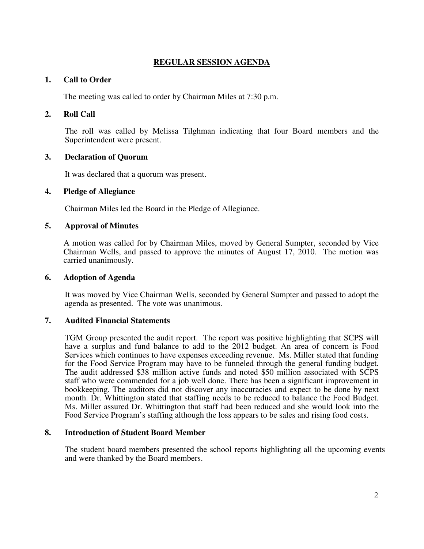# **REGULAR SESSION AGENDA**

# **1. Call to Order**

The meeting was called to order by Chairman Miles at 7:30 p.m.

# **2. Roll Call**

The roll was called by Melissa Tilghman indicating that four Board members and the Superintendent were present.

# **3. Declaration of Quorum**

It was declared that a quorum was present.

# **4. Pledge of Allegiance**

Chairman Miles led the Board in the Pledge of Allegiance.

# **5. Approval of Minutes**

A motion was called for by Chairman Miles, moved by General Sumpter, seconded by Vice Chairman Wells, and passed to approve the minutes of August 17, 2010. The motion was carried unanimously.

# **6. Adoption of Agenda**

 It was moved by Vice Chairman Wells, seconded by General Sumpter and passed to adopt the agenda as presented. The vote was unanimous.

# **7. Audited Financial Statements**

TGM Group presented the audit report. The report was positive highlighting that SCPS will have a surplus and fund balance to add to the 2012 budget. An area of concern is Food Services which continues to have expenses exceeding revenue. Ms. Miller stated that funding for the Food Service Program may have to be funneled through the general funding budget. The audit addressed \$38 million active funds and noted \$50 million associated with SCPS staff who were commended for a job well done. There has been a significant improvement in bookkeeping. The auditors did not discover any inaccuracies and expect to be done by next month. Dr. Whittington stated that staffing needs to be reduced to balance the Food Budget. Ms. Miller assured Dr. Whittington that staff had been reduced and she would look into the Food Service Program's staffing although the loss appears to be sales and rising food costs.

# **8. Introduction of Student Board Member**

The student board members presented the school reports highlighting all the upcoming events and were thanked by the Board members.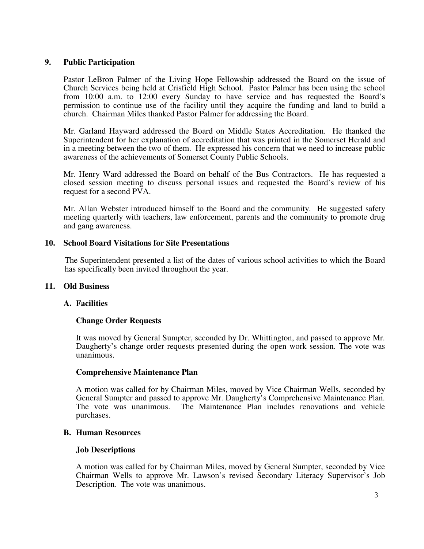### **9. Public Participation**

Pastor LeBron Palmer of the Living Hope Fellowship addressed the Board on the issue of Church Services being held at Crisfield High School. Pastor Palmer has been using the school from 10:00 a.m. to 12:00 every Sunday to have service and has requested the Board's permission to continue use of the facility until they acquire the funding and land to build a church. Chairman Miles thanked Pastor Palmer for addressing the Board.

Mr. Garland Hayward addressed the Board on Middle States Accreditation. He thanked the Superintendent for her explanation of accreditation that was printed in the Somerset Herald and in a meeting between the two of them. He expressed his concern that we need to increase public awareness of the achievements of Somerset County Public Schools.

Mr. Henry Ward addressed the Board on behalf of the Bus Contractors. He has requested a closed session meeting to discuss personal issues and requested the Board's review of his request for a second PVA.

Mr. Allan Webster introduced himself to the Board and the community. He suggested safety meeting quarterly with teachers, law enforcement, parents and the community to promote drug and gang awareness.

#### **10. School Board Visitations for Site Presentations**

The Superintendent presented a list of the dates of various school activities to which the Board has specifically been invited throughout the year.

#### **11. Old Business**

#### **A. Facilities**

#### **Change Order Requests**

It was moved by General Sumpter, seconded by Dr. Whittington, and passed to approve Mr. Daugherty's change order requests presented during the open work session. The vote was unanimous.

#### **Comprehensive Maintenance Plan**

A motion was called for by Chairman Miles, moved by Vice Chairman Wells, seconded by General Sumpter and passed to approve Mr. Daugherty's Comprehensive Maintenance Plan. The vote was unanimous. The Maintenance Plan includes renovations and vehicle purchases.

#### **B. Human Resources**

#### **Job Descriptions**

A motion was called for by Chairman Miles, moved by General Sumpter, seconded by Vice Chairman Wells to approve Mr. Lawson's revised Secondary Literacy Supervisor's Job Description. The vote was unanimous.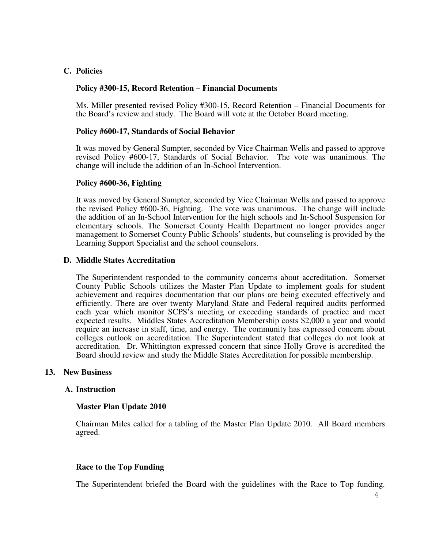# **C. Policies**

### **Policy #300-15, Record Retention – Financial Documents**

Ms. Miller presented revised Policy #300-15, Record Retention – Financial Documents for the Board's review and study. The Board will vote at the October Board meeting.

#### **Policy #600-17, Standards of Social Behavior**

It was moved by General Sumpter, seconded by Vice Chairman Wells and passed to approve revised Policy #600-17, Standards of Social Behavior. The vote was unanimous. The change will include the addition of an In-School Intervention.

### **Policy #600-36, Fighting**

It was moved by General Sumpter, seconded by Vice Chairman Wells and passed to approve the revised Policy #600-36, Fighting. The vote was unanimous. The change will include the addition of an In-School Intervention for the high schools and In-School Suspension for elementary schools. The Somerset County Health Department no longer provides anger management to Somerset County Public Schools' students, but counseling is provided by the Learning Support Specialist and the school counselors.

### **D. Middle States Accreditation**

The Superintendent responded to the community concerns about accreditation. Somerset County Public Schools utilizes the Master Plan Update to implement goals for student achievement and requires documentation that our plans are being executed effectively and efficiently. There are over twenty Maryland State and Federal required audits performed each year which monitor SCPS's meeting or exceeding standards of practice and meet expected results. Middles States Accreditation Membership costs \$2,000 a year and would require an increase in staff, time, and energy. The community has expressed concern about colleges outlook on accreditation. The Superintendent stated that colleges do not look at accreditation. Dr. Whittington expressed concern that since Holly Grove is accredited the Board should review and study the Middle States Accreditation for possible membership.

#### **13. New Business**

#### **A. Instruction**

#### **Master Plan Update 2010**

Chairman Miles called for a tabling of the Master Plan Update 2010. All Board members agreed.

#### **Race to the Top Funding**

The Superintendent briefed the Board with the guidelines with the Race to Top funding.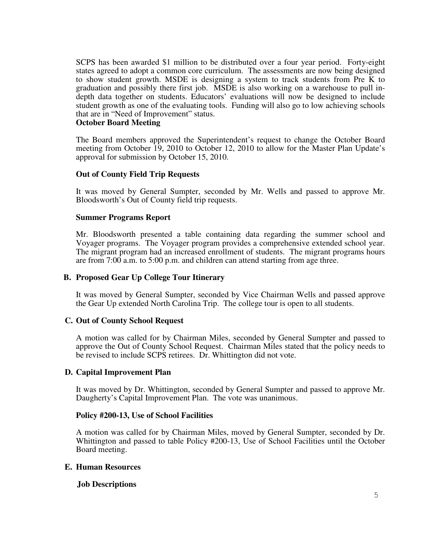SCPS has been awarded \$1 million to be distributed over a four year period. Forty-eight states agreed to adopt a common core curriculum. The assessments are now being designed to show student growth. MSDE is designing a system to track students from Pre K to graduation and possibly there first job. MSDE is also working on a warehouse to pull indepth data together on students. Educators' evaluations will now be designed to include student growth as one of the evaluating tools. Funding will also go to low achieving schools that are in "Need of Improvement" status.

### **October Board Meeting**

The Board members approved the Superintendent's request to change the October Board meeting from October 19, 2010 to October 12, 2010 to allow for the Master Plan Update's approval for submission by October 15, 2010.

# **Out of County Field Trip Requests**

It was moved by General Sumpter, seconded by Mr. Wells and passed to approve Mr. Bloodsworth's Out of County field trip requests.

#### **Summer Programs Report**

Mr. Bloodsworth presented a table containing data regarding the summer school and Voyager programs. The Voyager program provides a comprehensive extended school year. The migrant program had an increased enrollment of students. The migrant programs hours are from 7:00 a.m. to 5:00 p.m. and children can attend starting from age three.

### **B. Proposed Gear Up College Tour Itinerary**

It was moved by General Sumpter, seconded by Vice Chairman Wells and passed approve the Gear Up extended North Carolina Trip. The college tour is open to all students.

#### **C. Out of County School Request**

A motion was called for by Chairman Miles, seconded by General Sumpter and passed to approve the Out of County School Request. Chairman Miles stated that the policy needs to be revised to include SCPS retirees. Dr. Whittington did not vote.

#### **D. Capital Improvement Plan**

It was moved by Dr. Whittington, seconded by General Sumpter and passed to approve Mr. Daugherty's Capital Improvement Plan. The vote was unanimous.

#### **Policy #200-13, Use of School Facilities**

A motion was called for by Chairman Miles, moved by General Sumpter, seconded by Dr. Whittington and passed to table Policy #200-13, Use of School Facilities until the October Board meeting.

#### **E. Human Resources**

#### **Job Descriptions**